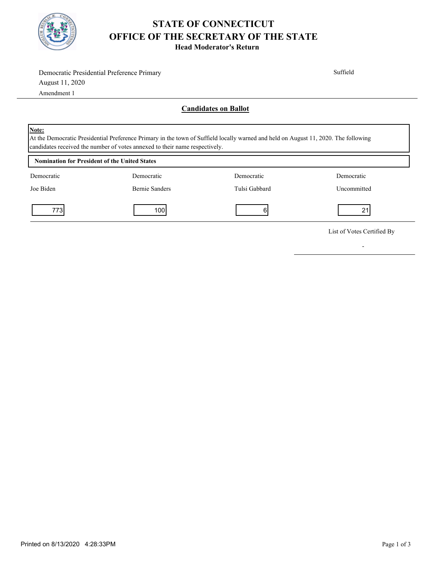

## **STATE OF CONNECTICUT OFFICE OF THE SECRETARY OF THE STATE**

**Head Moderator's Return**

|                                                                                                                                                                                                                                    | Democratic Presidential Preference Primary |                             | Suffield                   |  |
|------------------------------------------------------------------------------------------------------------------------------------------------------------------------------------------------------------------------------------|--------------------------------------------|-----------------------------|----------------------------|--|
| August 11, 2020                                                                                                                                                                                                                    |                                            |                             |                            |  |
| Amendment 1                                                                                                                                                                                                                        |                                            |                             |                            |  |
|                                                                                                                                                                                                                                    |                                            | <b>Candidates on Ballot</b> |                            |  |
| <b>Note:</b><br>At the Democratic Presidential Preference Primary in the town of Suffield locally warned and held on August 11, 2020. The following<br>candidates received the number of votes annexed to their name respectively. |                                            |                             |                            |  |
| <b>Nomination for President of the United States</b>                                                                                                                                                                               |                                            |                             |                            |  |
| Democratic                                                                                                                                                                                                                         | Democratic                                 | Democratic                  | Democratic                 |  |
| Joe Biden                                                                                                                                                                                                                          | <b>Bernie Sanders</b>                      | Tulsi Gabbard               | Uncommitted                |  |
| 7731                                                                                                                                                                                                                               | 100                                        | 6                           | 21                         |  |
|                                                                                                                                                                                                                                    |                                            |                             | List of Votes Certified By |  |

-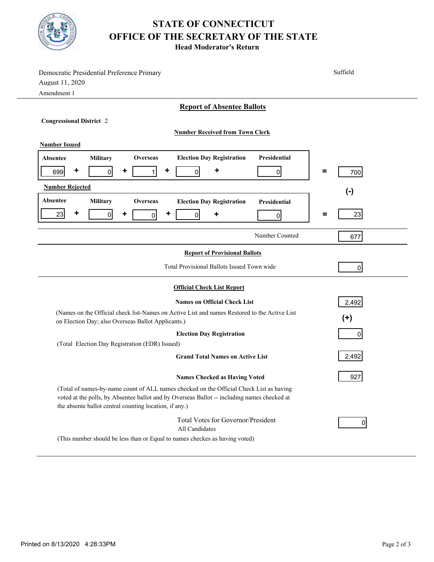

## **STATE OF CONNECTICUT OFFICE OF THE SECRETARY OF THE STATE**

**Head Moderator's Return**

| Democratic Presidential Preference Primary                                                                                                                                                                                                       | Suffield       |  |  |  |
|--------------------------------------------------------------------------------------------------------------------------------------------------------------------------------------------------------------------------------------------------|----------------|--|--|--|
| August 11, 2020                                                                                                                                                                                                                                  |                |  |  |  |
| Amendment 1                                                                                                                                                                                                                                      |                |  |  |  |
| <b>Report of Absentee Ballots</b>                                                                                                                                                                                                                |                |  |  |  |
| <b>Congressional District 2</b>                                                                                                                                                                                                                  |                |  |  |  |
| <b>Number Received from Town Clerk</b>                                                                                                                                                                                                           |                |  |  |  |
| <b>Number Issued</b>                                                                                                                                                                                                                             |                |  |  |  |
| Presidential<br><b>Election Day Registration</b><br>Military<br><b>Overseas</b><br>Absentee                                                                                                                                                      |                |  |  |  |
| ٠<br>٠<br>٠<br>699<br>$\overline{0}$<br>$\mathbf{1}$<br>0<br>$\overline{0}$                                                                                                                                                                      | =<br>700       |  |  |  |
|                                                                                                                                                                                                                                                  |                |  |  |  |
| <b>Number Rejected</b>                                                                                                                                                                                                                           | $(-)$          |  |  |  |
| Absentee<br>Military<br><b>Overseas</b><br><b>Election Day Registration</b><br>Presidential                                                                                                                                                      |                |  |  |  |
| ٠<br>٠<br>23<br>٠<br>$\overline{0}$<br>$\Omega$<br>٠<br>$\overline{0}$<br>0                                                                                                                                                                      | 23<br>Ξ        |  |  |  |
|                                                                                                                                                                                                                                                  |                |  |  |  |
| Number Counted                                                                                                                                                                                                                                   | 677            |  |  |  |
| <b>Report of Provisional Ballots</b>                                                                                                                                                                                                             |                |  |  |  |
| Total Provisional Ballots Issued Town wide                                                                                                                                                                                                       | $\overline{0}$ |  |  |  |
| <b>Official Check List Report</b>                                                                                                                                                                                                                |                |  |  |  |
| <b>Names on Official Check List</b>                                                                                                                                                                                                              | 2,492          |  |  |  |
| (Names on the Official check list-Names on Active List and names Restored to the Active List                                                                                                                                                     |                |  |  |  |
| on Election Day; also Overseas Ballot Applicants.)                                                                                                                                                                                               | $(+)$          |  |  |  |
| <b>Election Day Registration</b><br>$\Omega$                                                                                                                                                                                                     |                |  |  |  |
| (Total Election Day Registration (EDR) Issued)                                                                                                                                                                                                   |                |  |  |  |
| <b>Grand Total Names on Active List</b>                                                                                                                                                                                                          | 2,492          |  |  |  |
| <b>Names Checked as Having Voted</b>                                                                                                                                                                                                             | 927            |  |  |  |
| (Total of names-by-name count of ALL names checked on the Official Check List as having<br>voted at the polls, by Absentee ballot and by Overseas Ballot -- including names checked at<br>the absente ballot central counting location, if any.) |                |  |  |  |
| Total Votes for Governor/President<br>All Candidates                                                                                                                                                                                             | 0              |  |  |  |
| (This number should be less than or Equal to names checkes as having voted)                                                                                                                                                                      |                |  |  |  |